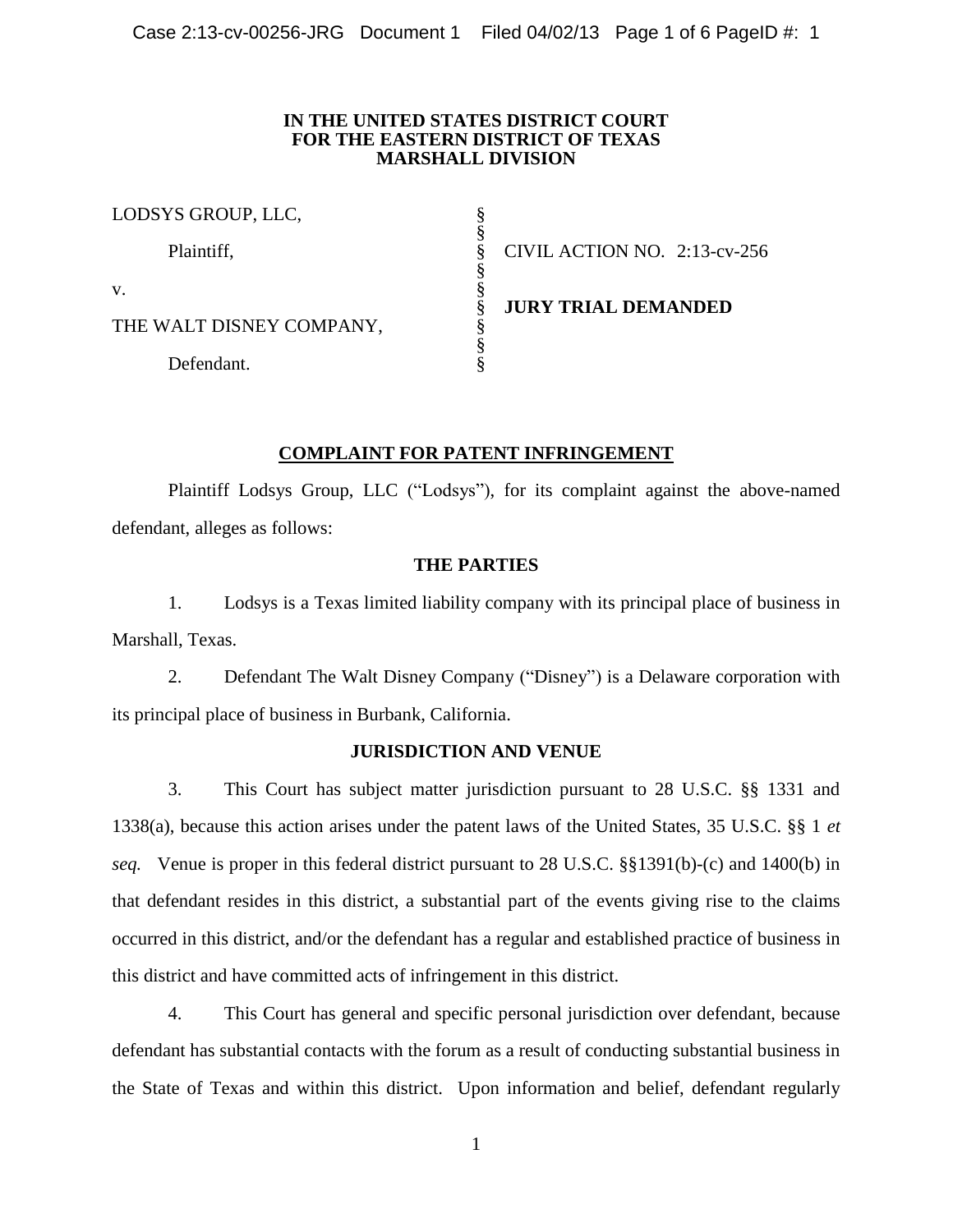## **IN THE UNITED STATES DISTRICT COURT FOR THE EASTERN DISTRICT OF TEXAS MARSHALL DIVISION**

| LODSYS GROUP, LLC,       |                              |
|--------------------------|------------------------------|
| Plaintiff,               | CIVIL ACTION NO. 2:13-cv-256 |
| V.                       |                              |
| THE WALT DISNEY COMPANY, | <b>JURY TRIAL DEMANDED</b>   |
| Defendant.               |                              |

# **COMPLAINT FOR PATENT INFRINGEMENT**

Plaintiff Lodsys Group, LLC ("Lodsys"), for its complaint against the above-named defendant, alleges as follows:

## **THE PARTIES**

1. Lodsys is a Texas limited liability company with its principal place of business in Marshall, Texas.

2. Defendant The Walt Disney Company ("Disney") is a Delaware corporation with its principal place of business in Burbank, California.

## **JURISDICTION AND VENUE**

3. This Court has subject matter jurisdiction pursuant to 28 U.S.C. §§ 1331 and 1338(a), because this action arises under the patent laws of the United States, 35 U.S.C. §§ 1 *et seq.* Venue is proper in this federal district pursuant to 28 U.S.C. §§1391(b)-(c) and 1400(b) in that defendant resides in this district, a substantial part of the events giving rise to the claims occurred in this district, and/or the defendant has a regular and established practice of business in this district and have committed acts of infringement in this district.

4. This Court has general and specific personal jurisdiction over defendant, because defendant has substantial contacts with the forum as a result of conducting substantial business in the State of Texas and within this district. Upon information and belief, defendant regularly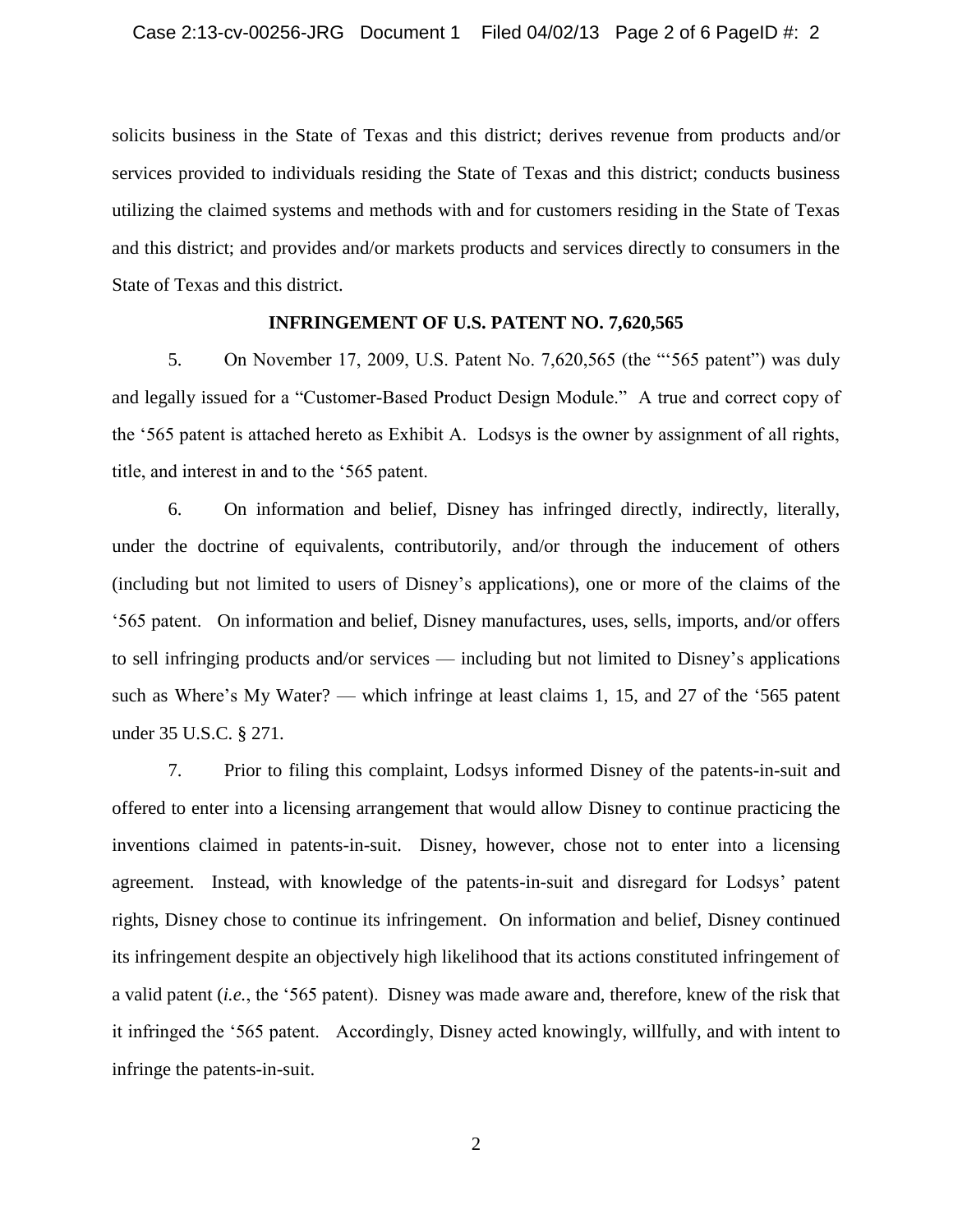solicits business in the State of Texas and this district; derives revenue from products and/or services provided to individuals residing the State of Texas and this district; conducts business utilizing the claimed systems and methods with and for customers residing in the State of Texas and this district; and provides and/or markets products and services directly to consumers in the State of Texas and this district.

## **INFRINGEMENT OF U.S. PATENT NO. 7,620,565**

5. On November 17, 2009, U.S. Patent No. 7,620,565 (the "'565 patent") was duly and legally issued for a "Customer-Based Product Design Module." A true and correct copy of the '565 patent is attached hereto as Exhibit A. Lodsys is the owner by assignment of all rights, title, and interest in and to the '565 patent.

6. On information and belief, Disney has infringed directly, indirectly, literally, under the doctrine of equivalents, contributorily, and/or through the inducement of others (including but not limited to users of Disney's applications), one or more of the claims of the '565 patent. On information and belief, Disney manufactures, uses, sells, imports, and/or offers to sell infringing products and/or services — including but not limited to Disney's applications such as Where's My Water? — which infringe at least claims 1, 15, and 27 of the '565 patent under 35 U.S.C. § 271.

7. Prior to filing this complaint, Lodsys informed Disney of the patents-in-suit and offered to enter into a licensing arrangement that would allow Disney to continue practicing the inventions claimed in patents-in-suit. Disney, however, chose not to enter into a licensing agreement. Instead, with knowledge of the patents-in-suit and disregard for Lodsys' patent rights, Disney chose to continue its infringement. On information and belief, Disney continued its infringement despite an objectively high likelihood that its actions constituted infringement of a valid patent (*i.e.*, the '565 patent). Disney was made aware and, therefore, knew of the risk that it infringed the '565 patent. Accordingly, Disney acted knowingly, willfully, and with intent to infringe the patents-in-suit.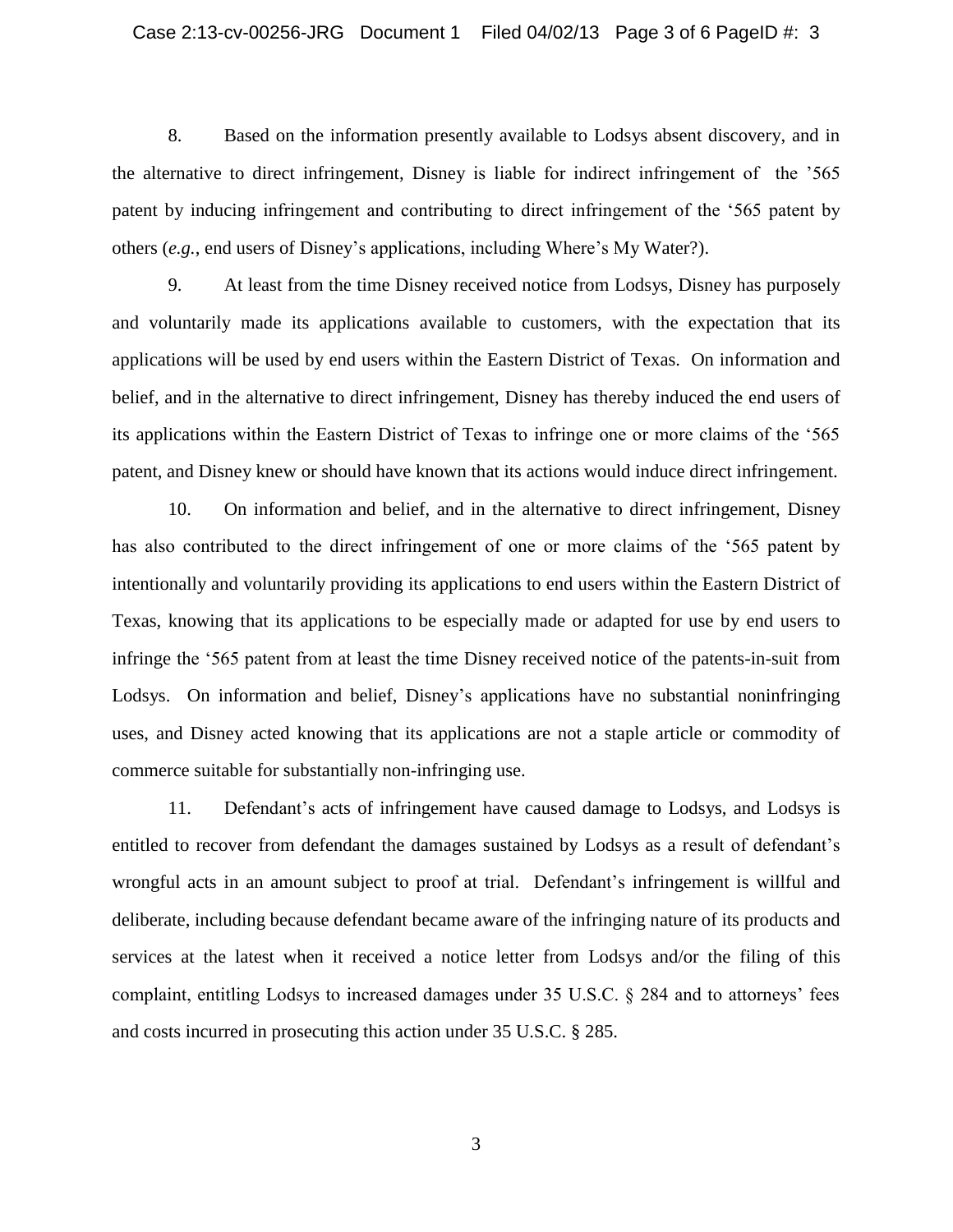8. Based on the information presently available to Lodsys absent discovery, and in the alternative to direct infringement, Disney is liable for indirect infringement of the '565 patent by inducing infringement and contributing to direct infringement of the '565 patent by others (*e.g.*, end users of Disney's applications, including Where's My Water?).

9. At least from the time Disney received notice from Lodsys, Disney has purposely and voluntarily made its applications available to customers, with the expectation that its applications will be used by end users within the Eastern District of Texas. On information and belief, and in the alternative to direct infringement, Disney has thereby induced the end users of its applications within the Eastern District of Texas to infringe one or more claims of the '565 patent, and Disney knew or should have known that its actions would induce direct infringement.

10. On information and belief, and in the alternative to direct infringement, Disney has also contributed to the direct infringement of one or more claims of the '565 patent by intentionally and voluntarily providing its applications to end users within the Eastern District of Texas, knowing that its applications to be especially made or adapted for use by end users to infringe the '565 patent from at least the time Disney received notice of the patents-in-suit from Lodsys. On information and belief, Disney's applications have no substantial noninfringing uses, and Disney acted knowing that its applications are not a staple article or commodity of commerce suitable for substantially non-infringing use.

11. Defendant's acts of infringement have caused damage to Lodsys, and Lodsys is entitled to recover from defendant the damages sustained by Lodsys as a result of defendant's wrongful acts in an amount subject to proof at trial. Defendant's infringement is willful and deliberate, including because defendant became aware of the infringing nature of its products and services at the latest when it received a notice letter from Lodsys and/or the filing of this complaint, entitling Lodsys to increased damages under 35 U.S.C. § 284 and to attorneys' fees and costs incurred in prosecuting this action under 35 U.S.C. § 285.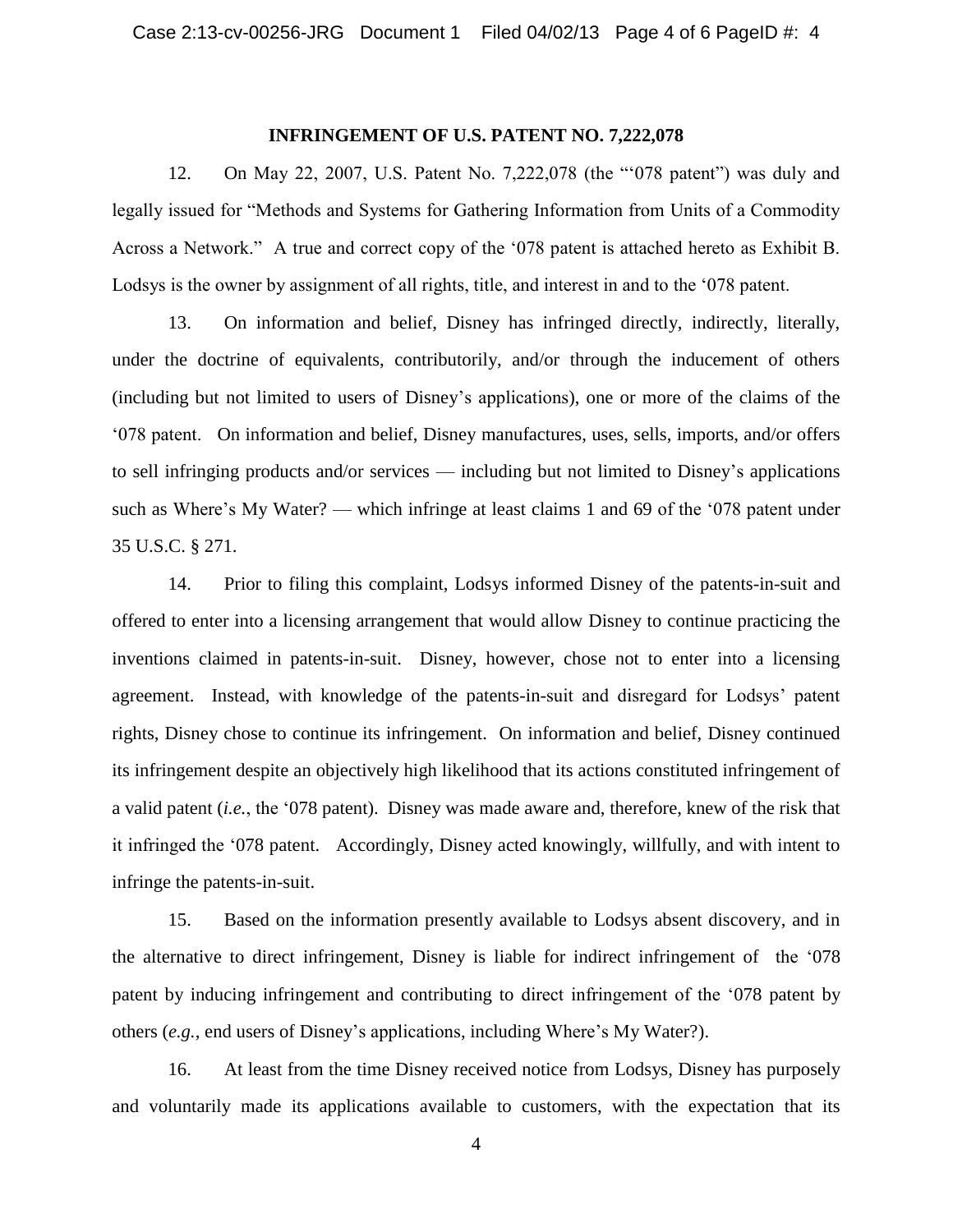#### **INFRINGEMENT OF U.S. PATENT NO. 7,222,078**

12. On May 22, 2007, U.S. Patent No. 7,222,078 (the "'078 patent") was duly and legally issued for "Methods and Systems for Gathering Information from Units of a Commodity Across a Network." A true and correct copy of the '078 patent is attached hereto as Exhibit B. Lodsys is the owner by assignment of all rights, title, and interest in and to the '078 patent.

13. On information and belief, Disney has infringed directly, indirectly, literally, under the doctrine of equivalents, contributorily, and/or through the inducement of others (including but not limited to users of Disney's applications), one or more of the claims of the '078 patent. On information and belief, Disney manufactures, uses, sells, imports, and/or offers to sell infringing products and/or services — including but not limited to Disney's applications such as Where's My Water? — which infringe at least claims 1 and 69 of the '078 patent under 35 U.S.C. § 271.

14. Prior to filing this complaint, Lodsys informed Disney of the patents-in-suit and offered to enter into a licensing arrangement that would allow Disney to continue practicing the inventions claimed in patents-in-suit. Disney, however, chose not to enter into a licensing agreement. Instead, with knowledge of the patents-in-suit and disregard for Lodsys' patent rights, Disney chose to continue its infringement. On information and belief, Disney continued its infringement despite an objectively high likelihood that its actions constituted infringement of a valid patent (*i.e.*, the '078 patent). Disney was made aware and, therefore, knew of the risk that it infringed the '078 patent. Accordingly, Disney acted knowingly, willfully, and with intent to infringe the patents-in-suit.

15. Based on the information presently available to Lodsys absent discovery, and in the alternative to direct infringement, Disney is liable for indirect infringement of the '078 patent by inducing infringement and contributing to direct infringement of the '078 patent by others (*e.g.*, end users of Disney's applications, including Where's My Water?).

16. At least from the time Disney received notice from Lodsys, Disney has purposely and voluntarily made its applications available to customers, with the expectation that its

4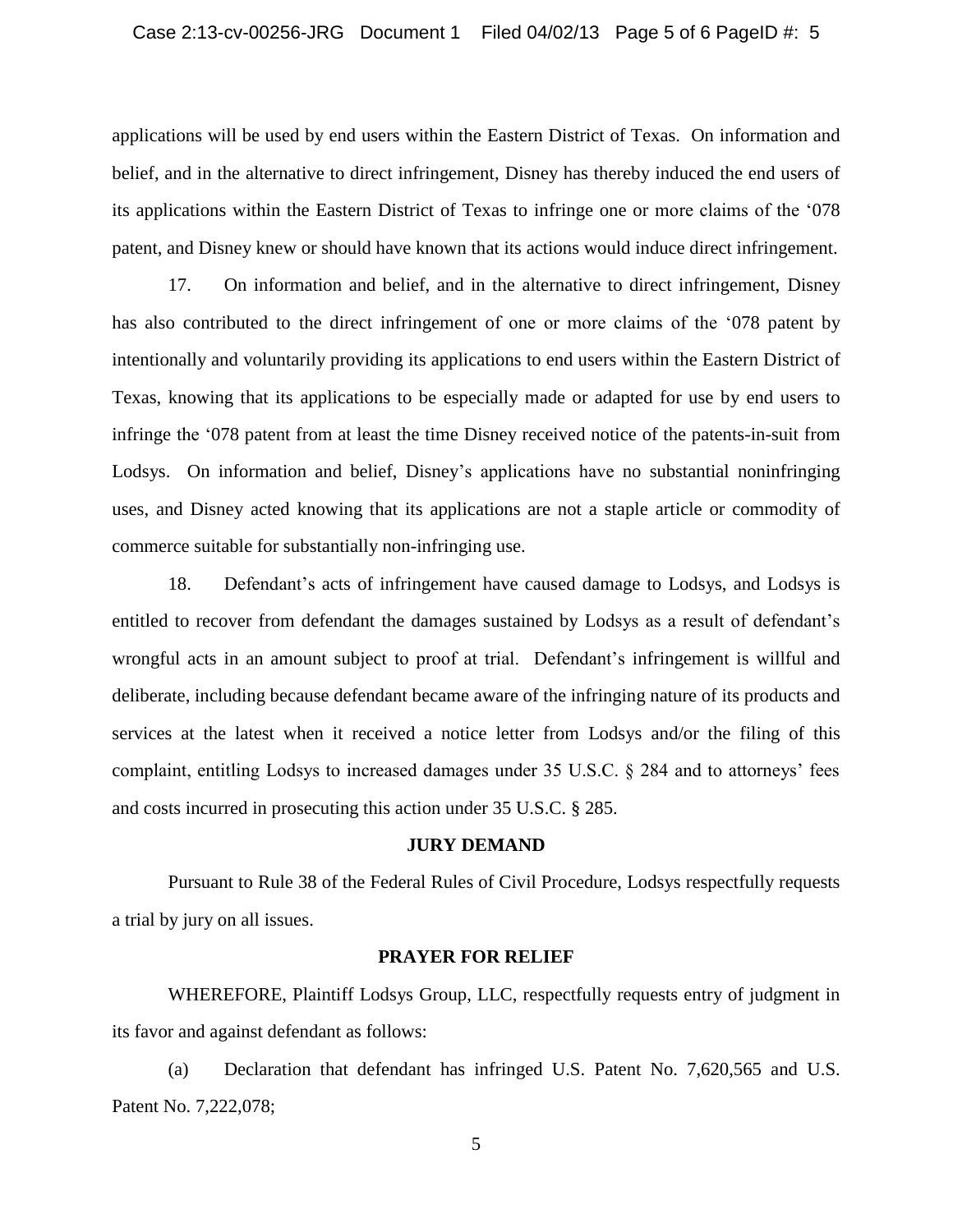applications will be used by end users within the Eastern District of Texas. On information and belief, and in the alternative to direct infringement, Disney has thereby induced the end users of its applications within the Eastern District of Texas to infringe one or more claims of the '078 patent, and Disney knew or should have known that its actions would induce direct infringement.

17. On information and belief, and in the alternative to direct infringement, Disney has also contributed to the direct infringement of one or more claims of the '078 patent by intentionally and voluntarily providing its applications to end users within the Eastern District of Texas, knowing that its applications to be especially made or adapted for use by end users to infringe the '078 patent from at least the time Disney received notice of the patents-in-suit from Lodsys. On information and belief, Disney's applications have no substantial noninfringing uses, and Disney acted knowing that its applications are not a staple article or commodity of commerce suitable for substantially non-infringing use.

18. Defendant's acts of infringement have caused damage to Lodsys, and Lodsys is entitled to recover from defendant the damages sustained by Lodsys as a result of defendant's wrongful acts in an amount subject to proof at trial. Defendant's infringement is willful and deliberate, including because defendant became aware of the infringing nature of its products and services at the latest when it received a notice letter from Lodsys and/or the filing of this complaint, entitling Lodsys to increased damages under 35 U.S.C. § 284 and to attorneys' fees and costs incurred in prosecuting this action under 35 U.S.C. § 285.

### **JURY DEMAND**

Pursuant to Rule 38 of the Federal Rules of Civil Procedure, Lodsys respectfully requests a trial by jury on all issues.

## **PRAYER FOR RELIEF**

WHEREFORE, Plaintiff Lodsys Group, LLC, respectfully requests entry of judgment in its favor and against defendant as follows:

(a) Declaration that defendant has infringed U.S. Patent No. 7,620,565 and U.S. Patent No. 7,222,078;